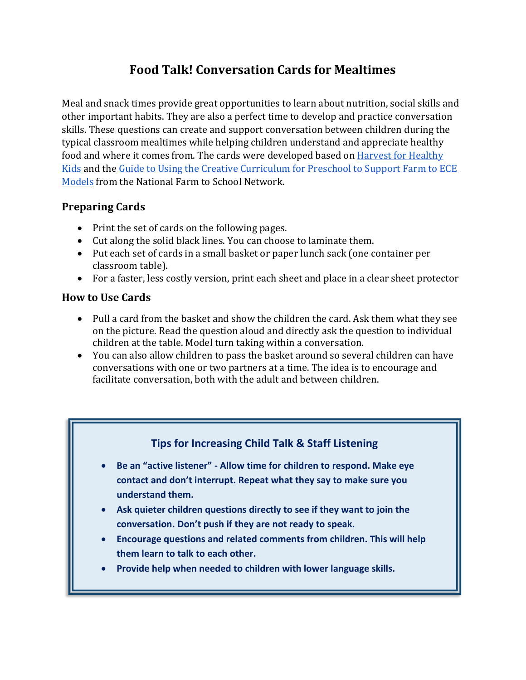## **Food Talk! Conversation Cards for Mealtimes**

Meal and snack times provide great opportunities to learn about nutrition, social skills and other important habits. They are also a perfect time to develop and practice conversation skills. These questions can create and support conversation between children during the typical classroom mealtimes while helping children understand and appreciate healthy food and where it comes from. The cards were developed based on [Harvest for Healthy](http://www.harvestforhealthykids.org/)  [Kids](http://www.harvestforhealthykids.org/) and the [Guide to Using the Creative Curriculum for Preschool to Support Farm to ECE](http://www.farmtoschool.org/Resources/FarmtoECE_CreativeCurriculumGuide.pdf)  [Models](http://www.farmtoschool.org/Resources/FarmtoECE_CreativeCurriculumGuide.pdf) from the National Farm to School Network.

## **Preparing Cards**

- Print the set of cards on the following pages.
- Cut along the solid black lines. You can choose to laminate them.
- Put each set of cards in a small basket or paper lunch sack (one container per classroom table).
- For a faster, less costly version, print each sheet and place in a clear sheet protector

## **How to Use Cards**

- Pull a card from the basket and show the children the card. Ask them what they see on the picture. Read the question aloud and directly ask the question to individual children at the table. Model turn taking within a conversation.
- You can also allow children to pass the basket around so several children can have conversations with one or two partners at a time. The idea is to encourage and facilitate conversation, both with the adult and between children.

## **Tips for Increasing Child Talk & Staff Listening**

- **Be an "active listener" - Allow time for children to respond. Make eye contact and don't interrupt. Repeat what they say to make sure you understand them.**
- **Ask quieter children questions directly to see if they want to join the conversation. Don't push if they are not ready to speak.**
- **Encourage questions and related comments from children. This will help them learn to talk to each other.**
- **Provide help when needed to children with lower language skills.**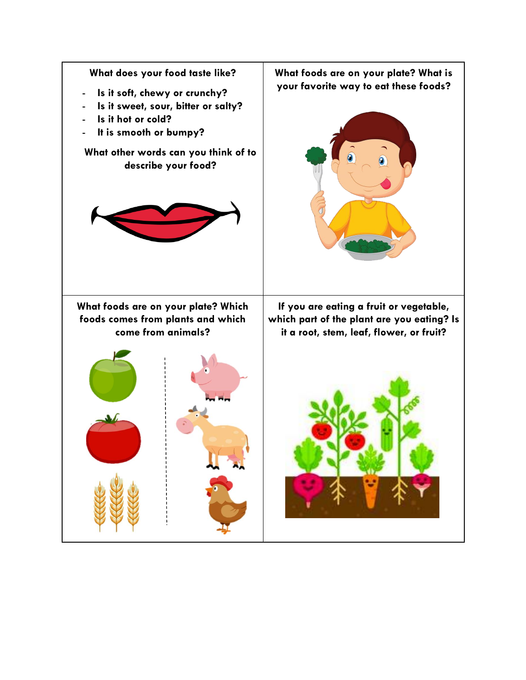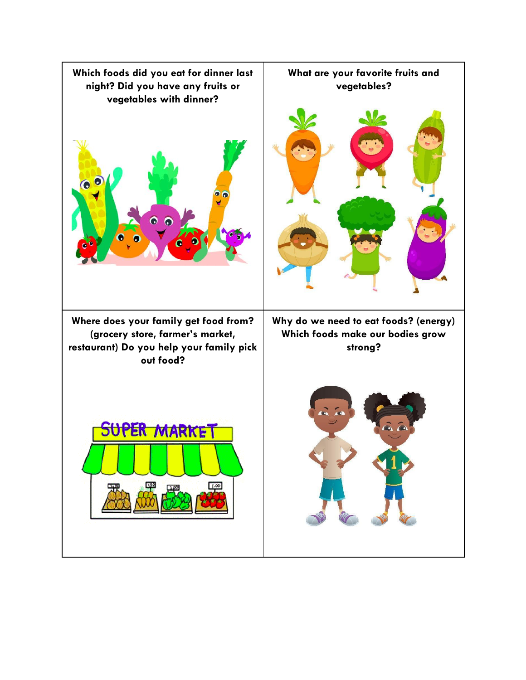